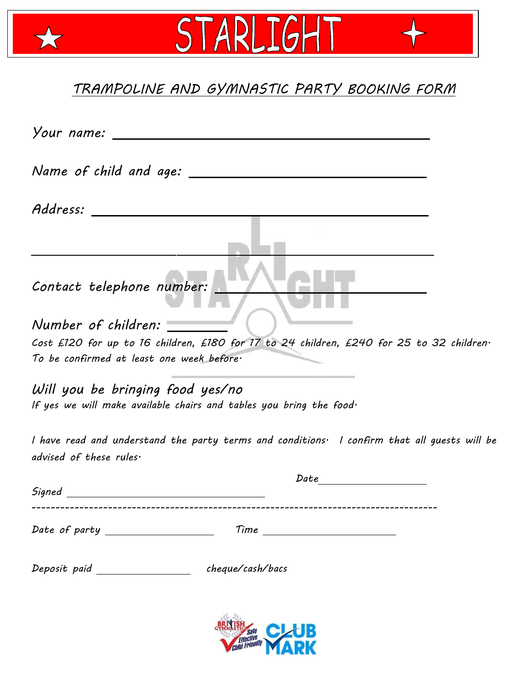## *TRAMPOLINE AND GYMNASTIC PARTY BOOKING FORM*

STARLIGHT

 $\bigstar$ 

| Your name: _                                                                                                                                                                                                                                                                                                                                                                                                                    |  |
|---------------------------------------------------------------------------------------------------------------------------------------------------------------------------------------------------------------------------------------------------------------------------------------------------------------------------------------------------------------------------------------------------------------------------------|--|
|                                                                                                                                                                                                                                                                                                                                                                                                                                 |  |
| Address:                                                                                                                                                                                                                                                                                                                                                                                                                        |  |
|                                                                                                                                                                                                                                                                                                                                                                                                                                 |  |
| Contact telephone number:                                                                                                                                                                                                                                                                                                                                                                                                       |  |
| Number of children:                                                                                                                                                                                                                                                                                                                                                                                                             |  |
| Cost £120 for up to 16 children, £180 for 17 to 24 children, £240 for 25 to 32 children·                                                                                                                                                                                                                                                                                                                                        |  |
| To be confirmed at least one week before.                                                                                                                                                                                                                                                                                                                                                                                       |  |
| Will you be bringing food yes/no<br>If yes we will make available chairs and tables you bring the food.                                                                                                                                                                                                                                                                                                                         |  |
| I have read and understand the party terms and conditions. I confirm that all guests will be<br>advised of these rules.                                                                                                                                                                                                                                                                                                         |  |
| Date<br>Signed                                                                                                                                                                                                                                                                                                                                                                                                                  |  |
|                                                                                                                                                                                                                                                                                                                                                                                                                                 |  |
| Date of party $\frac{1}{\sqrt{1-\frac{1}{2}}}\frac{1}{\sqrt{1-\frac{1}{2}}}\frac{1}{\sqrt{1-\frac{1}{2}}}\frac{1}{\sqrt{1-\frac{1}{2}}}\frac{1}{\sqrt{1-\frac{1}{2}}}\frac{1}{\sqrt{1-\frac{1}{2}}}\frac{1}{\sqrt{1-\frac{1}{2}}}\frac{1}{\sqrt{1-\frac{1}{2}}}\frac{1}{\sqrt{1-\frac{1}{2}}}\frac{1}{\sqrt{1-\frac{1}{2}}}\frac{1}{\sqrt{1-\frac{1}{2}}}\frac{1}{\sqrt{1-\frac{1}{2}}}\frac{1}{\sqrt{1-\frac{1}{$<br>$Time \_$ |  |
| Deposit paid ____________________ cheque/cash/bacs                                                                                                                                                                                                                                                                                                                                                                              |  |